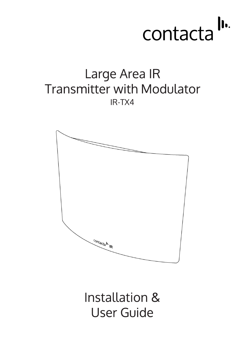# $\| \cdot \|$ contacta

# Large Area IR **Transmitter with Modulator** IR-TX4



**Installation & User Guide**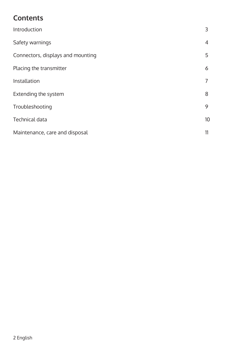# **Contents**

| Introduction                      | 3  |
|-----------------------------------|----|
| Safety warnings                   | 4  |
| Connectors, displays and mounting | 5  |
| Placing the transmitter           | 6  |
| Installation                      | 7  |
| Extending the system              | 8  |
| Troubleshooting                   | 9  |
| Technical data                    | 10 |
| Maintenance, care and disposal    | 11 |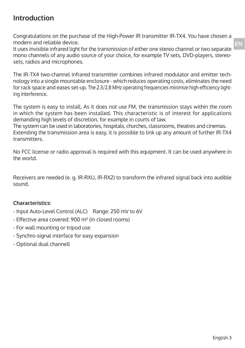# **Introduction**

Congratulations on the purchase of the High-Power IR transmitter IR-TX4. You have chosen a modern and reliable device.

It uses invisible infrared light for the transmission of either one stereo channel or two separate mono channels of any audio source of your choice, for example TV sets, DVD-players, stereosets, radios and microphones.

The IR-TX4 two-channel infrared transmitter combines infrared modulator and emitter technology into a single mountable enclosure - which reduces operating costs, eliminates the need for rack space and eases set-up. The 2.3/2.8 MHz operating frequencies minimize high-efficiency lighting interference.

The system is easy to install. As it does not use FM, the transmission stays within the room in which the system has been installed. This characteristic is of interest for applications demanding high levels of discretion, for example in courts of law.

The system can be used in laboratories, hospitals, churches, classrooms, theatres and cinemas. Extending the transmission area is easy, it is possible to link up any amount of further IR-TX4 transmitters.

No FCC license or radio approval is required with this equipment. It can be used anywhere in the world.

Receivers are needed (e. g. IR-RXU, IR-RX2) to transform the infrared signal back into audible sound.

### **Characteristics:**

- Input Auto-Level Control (ALC) Range: 250 mV to 6V
- Effective area covered: 900 m² (in closed rooms)
- For wall mounting or tripod use
- Synchro-signal interface for easy expansion
- Optional dual channell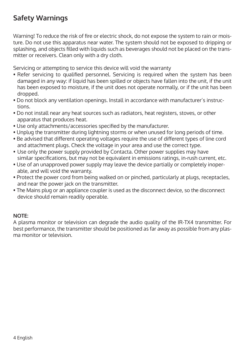# **Safety Warnings**

Warning! To reduce the risk of fire or electric shock, do not expose the system to rain or moisture. Do not use this apparatus near water. The system should not be exposed to dripping or splashing, and objects filled with liquids such as beverages should not be placed on the transmitter or receivers. Clean only with a dry cloth.

Servicing or attempting to service this device will void the warranty

- Refer servicing to qualified personnel. Servicing is required when the system has been damaged in any way: if liquid has been spilled or objects have fallen into the unit, if the unit has been exposed to moisture, if the unit does not operate normally, or if the unit has been dropped.
- Do not block any ventilation openings. Install in accordance with manufacturer's instructions.
- Do not install near any heat sources such as radiators, heat registers, stoves, or other apparatus that produces heat.
- Use only attachments/accessories specified by the manufacturer.
- Unplug the transmitter during lightning storms or when unused for long periods of time.
- Be advised that different operating voltages require the use of different types of line cord and attachment plugs. Check the voltage in your area and use the correct type.
- Use only the power supply provided by Contacta. Other power supplies may have similar specifications, but may not be equivalent in emissions ratings, in-rush current, etc.
- Use of an unapproved power supply may leave the device partially or completely inoperable, and will void the warranty.
- Protect the power cord from being walked on or pinched, particularly at plugs, receptacles, and near the power jack on the transmitter.
- The Mains plug or an appliance coupler is used as the disconnect device, so the disconnect device should remain readily operable.

### **NOTE:**

A plasma monitor or television can degrade the audio quality of the IR-TX4 transmitter. For best performance, the transmitter should be positioned as far away as possible from any plasma monitor or television.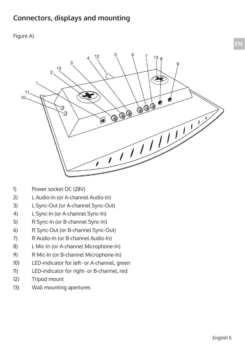# **Connectors, displays and mounting**

### Figure A)



- 1) Power socket DC (28V)
- 2) L Audio-In (or A-channel Audio-In)
- 3) L Sync-Out (or A-channel Sync-Out)
- 4) L Sync-In (or A-channel Sync-In)
- 5) R Sync-In (or B-channel Sync-In)
- 6) R Sync-Out (or B-channel Sync-Out)
- 7) R Audio-In (or B-channel Audio-In)
- 8) L Mic-In (or A-channel Microphone-In)
- 9) R Mic-In (or B-channel Microphone-In)
- 10) LED-indicator for left- or A-channel, green
- 11) LED-indicator for right- or B-channel, red
- 12) Tripod mount
- 13) Wall mounting apertures

**EN**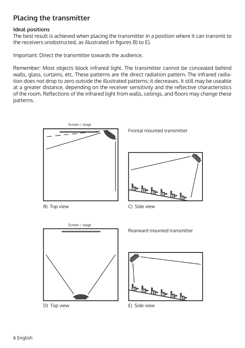# **Placing the transmitter**

### **Ideal positions**

The best result is achieved when placing the transmitter in a position where it can transmit to the receivers unobstructed, as illustrated in figures B) to E).

Important: Direct the transmitter towards the audience.

Remember: Most objects block infrared light. The transmitter cannot be concealed behind walls, glass, curtains, etc. These patterns are the direct radiation pattern. The infrared radiation does not drop to zero outside the illustrated patterns; it decreases. It still may be useable at a greater distance, depending on the receiver sensitivity and the reflective characteristics of the room. Reflections of the infrared light from walls, ceilings, and floors may change these patterns.



B) Top view





C) Side view



Rearward mounted transmitter

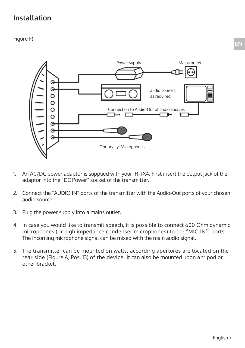# **Installation**

Figure F)



- 1. An AC/DC power adaptor is supplied with your IR-TX4. First insert the output jack of the adaptor into the "DC Power" socket of the transmitter.
- 2. Connect the "AUDIO IN" ports of the transmitter with the Audio-Out ports of your chosen audio source.
- 3. Plug the power supply into a mains outlet.
- 4. In case you would like to transmit speech, it is possible to connect 600 Ohm dynamic microphones (or high impedance condenser microphones) to the "MIC-IN"- ports. The incoming microphone signal can be mixed with the main audio signal.
- 5. The transmitter can be mounted on walls, according apertures are located on the rear side (Figure A, Pos. 13) of the device. It can also be mounted upon a tripod or other bracket.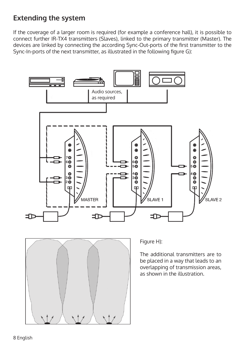# **Extending the system**

If the coverage of a larger room is required (for example a conference hall), it is possible to connect further IR-TX4 transmitters (Slaves), linked to the primary transmitter (Master). The devices are linked by connecting the according Sync-Out-ports of the first transmitter to the Sync-In-ports of the next transmitter, as illustrated in the following figure G):





Figure H):

The additional transmitters are to be placed in a way that leads to an overlapping of transmission areas, as shown in the illustration.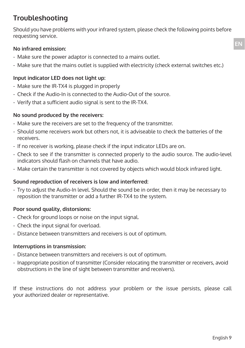# **Troubleshooting**

Should you have problems with your infrared system, please check the following points before requesting service.

### **No infrared emission:**

- Make sure the power adaptor is connected to a mains outlet.
- Make sure that the mains outlet is supplied with electricity (check external switches etc.)

### **Input indicator LED does not light up:**

- Make sure the IR-TX4 is plugged in properly
- Check if the Audio-In is connected to the Audio-Out of the source.
- Verify that a sufficient audio signal is sent to the IR-TX4.

### **No sound produced by the receivers:**

- Make sure the receivers are set to the frequency of the transmitter.
- Should some receivers work but others not, it is adviseable to check the batteries of the receivers.
- If no receiver is working, please check if the input indicator LEDs are on.
- Check to see if the transmitter is connected properly to the audio source. The audio-level indicators should flash on channels that have audio.
- Make certain the transmitter is not covered by objects which would block infrared light.

### **Sound reproduction of receivers is low and interferred:**

- Try to adjust the Audio-In level. Should the sound be in order, then it may be necessary to reposition the transmitter or add a further IR-TX4 to the system.

### **Poor sound quality, distorsions:**

- Check for ground loops or noise on the input signal.
- Check the input signal for overload.
- Distance between transmitters and receivers is out of optimum.

### **Interruptions in transmission:**

- Distance between transmitters and receivers is out of optimum.
- Inappropriate position of transmitter (Consider relocating the transmitter or receivers, avoid obstructions in the line of sight between transmitter and receivers).

If these instructions do not address your problem or the issue persists, please call your authorized dealer or representative.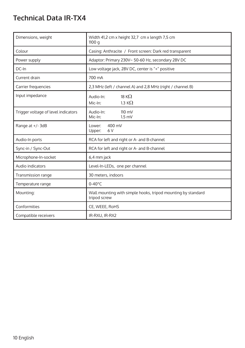# **Technical Data IR-TX4**

| Dimensions, weight                  | Width 41,2 cm x height 32,7 cm x length 7,5 cm<br>1100q                      |
|-------------------------------------|------------------------------------------------------------------------------|
| Colour                              | Casing: Anthracite / Front screen: Dark red transparent                      |
| Power supply                        | Adaptor: Primary 230V~ 50-60 Hz, secondary 28V DC                            |
| DC-In                               | Low voltage jack, 28V DC, center is "+" positive                             |
| Current drain                       | 700 mA                                                                       |
| Carrier frequencies                 | 2,3 MHz (left / channel A) and 2,8 MHz (right / channel B)                   |
| Input impedance                     | 18 K $\Omega$<br>Audio-In:<br>$1.3 K\Omega$<br>Mic-In:                       |
| Trigger voltage of level indicators | Audio-In:<br>$110 \text{ mV}$<br>Mic-In:<br>$1.5$ mV                         |
| Range at +/-3dB                     | 400 mV<br>Lower:<br>Upper:<br>6 V                                            |
| Audio-In ports                      | RCA for left and right or A- and B-channel                                   |
| Sync-in / Sync-Out                  | RCA for left and right or A- and B-channel                                   |
| Microphone-In-socket                | 6,4 mm jack                                                                  |
| Audio indicators                    | Level-In-LEDs, one per channel                                               |
| Transmission range                  | 30 meters, indoors                                                           |
| Temperature range                   | $0-40$ °C                                                                    |
| Mounting:                           | Wall mounting with simple hooks, tripod mounting by standard<br>tripod screw |
| Conformities                        | CE, WEEE, RoHS                                                               |
| Compatible receivers                | IR-RXU, IR-RX2                                                               |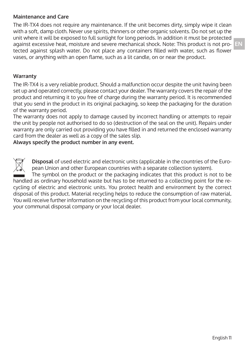### **Maintenance and Care**

The IR-TX4 does not require any maintenance. If the unit becomes dirty, simply wipe it clean with a soft, damp cloth. Never use spirits, thinners or other organic solvents. Do not set up the unit where it will be exposed to full sunlight for long periods. In addition it must be protected against excessive heat, moisture and severe mechanical shock. Note: This product is not protected against splash water. Do not place any containers filled with water, such as flower vases, or anything with an open flame, such as a lit candle, on or near the product.

### **Warranty**

The IR-TX4 is a very reliable product. Should a malfunction occur despite the unit having been set up and operated correctly, please contact your dealer. The warranty covers the repair of the product and returning it to you free of charge during the warranty period. It is recommended that you send in the product in its original packaging, so keep the packaging for the duration of the warranty period.

The warranty does not apply to damage caused by incorrect handling or attempts to repair the unit by people not authorised to do so (destruction of the seal on the unit). Repairs under warranty are only carried out providing you have filled in and returned the enclosed warranty card from the dealer as well as a copy of the sales slip.

### **Always specify the product number in any event.**



 **Disposal** of used electric and electronic units (applicable in the countries of the Euro pean Union and other European countries with a separate collection system).

 The symbol on the product or the packaging indicates that this product is not to be handled as ordinary household waste but has to be returned to a collecting point for the recycling of electric and electronic units. You protect health and environment by the correct disposal of this product. Material recycling helps to reduce the consumption of raw material. You will receive further information on the recycling of this product from your local community, your communal disposal company or your local dealer.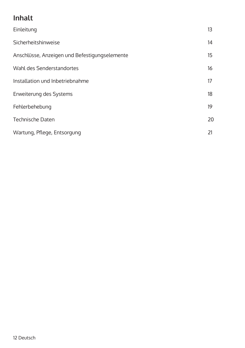# **Inhalt**

| Einleitung                                    | 13 |
|-----------------------------------------------|----|
| Sicherheitshinweise                           | 14 |
| Anschlüsse, Anzeigen und Befestigungselemente | 15 |
| Wahl des Senderstandortes                     | 16 |
| Installation und Inbetriebnahme               | 17 |
| Erweiterung des Systems                       | 18 |
| Fehlerbehebung                                | 19 |
| <b>Technische Daten</b>                       | 20 |
| Wartung, Pflege, Entsorgung                   | 21 |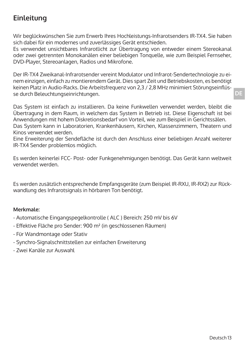# **Einleitung**

Wir beglückwünschen Sie zum Erwerb Ihres Hochleistungs-Infrarotsenders IR-TX4. Sie haben sich dabei für ein modernes und zuverlässiges Gerät entschieden.

Es verwendet unsichtbares Infrarotlicht zur Übertragung von entweder einem Stereokanal oder zwei getrennten Monokanälen einer beliebigen Tonquelle, wie zum Beispiel Fernseher, DVD-Player, Stereoanlagen, Radios und Mikrofone.

Der IR-TX4 Zweikanal-Infrarotsender vereint Modulator und Infrarot-Sendertechnologie zu einem einzigen, einfach zu montierendem Gerät. Dies spart Zeit und Betriebskosten, es benötigt keinen Platz in Audio-Racks. Die Arbeitsfrequenz von 2,3 / 2,8 MHz minimiert Störungseinflüsse durch Beleuchtungseinrichtungen.

Das System ist einfach zu installieren. Da keine Funkwellen verwendet werden, bleibt die Übertragung in dem Raum, in welchem das System in Betrieb ist. Diese Eigenschaft ist bei Anwendungen mit hohem Diskretionsbedarf von Vorteil, wie zum Beispiel in Gerichtssälen. Das System kann in Laboratorien, Krankenhäusern, Kirchen, Klassenzimmern, Theatern und Kinos verwendet werden.

Eine Erweiterung der Sendefläche ist durch den Anschluss einer beliebigen Anzahl weiterer IR-TX4 Sender problemlos möglich.

Es werden keinerlei FCC- Post- oder Funkgenehmigungen benötigt. Das Gerät kann weltweit verwendet werden.

Es werden zusätzlich entsprechende Empfangsgeräte (zum Beispiel IR-RXU, IR-RX2) zur Rückwandlung des Infrarotsignals in hörbaren Ton benötigt.

### **Merkmale:**

- Automatische Eingangspegelkontrolle ( ALC ) Bereich: 250 mV bis 6V
- Effektive Fläche pro Sender: 900 m² (in geschlossenen Räumen)
- Für Wandmontage oder Stativ
- Synchro-Signalschnittstellen zur einfachen Erweiterung
- Zwei Kanäle zur Auswahl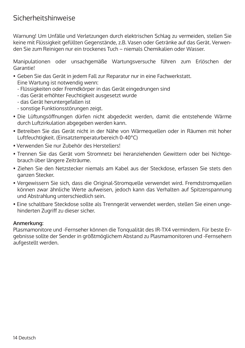# Sicherheitshinweise

Warnung! Um Unfälle und Verletzungen durch elektrischen Schlag zu vermeiden, stellen Sie keine mit Flüssigkeit gefüllten Gegenstände, z.B. Vasen oder Getränke auf das Gerät. Verwenden Sie zum Reinigen nur ein trockenes Tuch – niemals Chemikalien oder Wasser.

Manipulationen oder unsachgemäße Wartungsversuche führen zum Erlöschen der Garantie!

- Geben Sie das Gerät in jedem Fall zur Reparatur nur in eine Fachwerkstatt. Eine Wartung ist notwendig wenn:
	- Flüssigkeiten oder Fremdkörper in das Gerät eingedrungen sind
	- das Gerät erhöhter Feuchtigkeit ausgesetzt wurde
	- das Gerät heruntergefallen ist
	- sonstige Funktionsstörungen zeigt.
- Die Lüftungsöffnungen dürfen nicht abgedeckt werden, damit die entstehende Wärme durch Luftzirkulation abgegeben werden kann.
- Betreiben Sie das Gerät nicht in der Nähe von Wärmequellen oder in Räumen mit hoher Luftfeuchtigkeit. (Einsatztemperaturbereich 0-40°C)
- Verwenden Sie nur Zubehör des Herstellers!
- Trennen Sie das Gerät vom Stromnetz bei heranziehenden Gewittern oder bei Nichtgebrauch über längere Zeiträume.
- Ziehen Sie den Netzstecker niemals am Kabel aus der Steckdose, erfassen Sie stets den ganzen Stecker.
- Vergewissern Sie sich, dass die Original-Stromquelle verwendet wird. Fremdstromquellen können zwar ähnliche Werte aufweisen, jedoch kann das Verhalten auf Spitzenspannung und Abstrahlung unterschiedlich sein.
- Eine schaltbare Steckdose sollte als Trenngerät verwendet werden, stellen Sie einen ungehinderten Zugriff zu dieser sicher.

### **Anmerkung:**

Plasmamonitore und -Fernseher können die Tonqualität des IR-TX4 vermindern. Für beste Ergebnisse sollte der Sender in größtmöglichem Abstand zu Plasmamonitoren und -Fernsehern aufgestellt werden.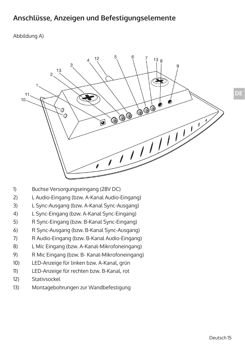# **Anschlüsse, Anzeigen und Befestigungselemente**

### Abbildung A)



- 1) Buchse Versorgungseingang (28V DC)
- 2) L Audio-Eingang (bzw. A-Kanal Audio-Eingang)
- 3) L Sync-Ausgang (bzw. A-Kanal Sync-Ausgang)
- 4) L Sync-Eingang (bzw. A-Kanal Sync-Eingang)
- 5) R Sync-Eingang (bzw. B-Kanal Sync-Eingang)
- 6) R Sync-Ausgang (bzw. B-Kanal Sync-Ausgang)
- 7) R Audio-Eingang (bzw. B-Kanal Audio-Eingang)
- 8) L Mic Eingang (bzw. A-Kanal-Mikrofoneingang)
- 9) R Mic Eingang (bzw. B- Kanal-Mikrofoneingang)
- 10) LED-Anzeige für linken bzw. A-Kanal, grün
- 11) LED-Anzeige für rechten bzw. B-Kanal, rot
- 12) Stativsockel
- 13) Montagebohrungen zur Wandbefestigung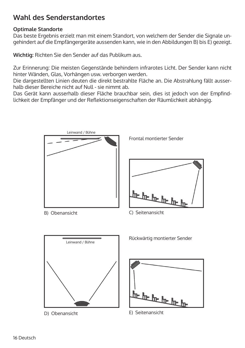# **Wahl des Senderstandortes**

### **Optimale Standorte**

Das beste Ergebnis erzielt man mit einem Standort, von welchem der Sender die Signale ungehindert auf die Empfängergeräte aussenden kann, wie in den Abbildungen B) bis E) gezeigt.

**Wichtig:** Richten Sie den Sender auf das Publikum aus.

Zur Erinnerung: Die meisten Gegenstände behindern infrarotes Licht. Der Sender kann nicht hinter Wänden, Glas, Vorhängen usw. verborgen werden.

Die dargestellten Linien deuten die direkt bestrahlte Fläche an. Die Abstrahlung fällt ausserhalb dieser Bereiche nicht auf Null - sie nimmt ab.

Das Gerät kann ausserhalb dieser Fläche brauchbar sein, dies ist jedoch von der Empfindlichkeit der Empfänger und der Reflektionseigenschaften der Räumlichkeit abhängig.



B) Obenansicht

Frontal montierter Sender



C) Seitenansicht



D) Obenansicht

Rückwärtig montierter Sender



E) Seitenansicht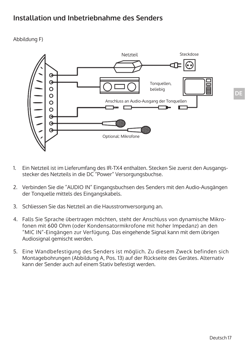# **Installation und Inbetriebnahme des Senders**

Abbildung F)



- 1. Ein Netzteil ist im Lieferumfang des IR-TX4 enthalten. Stecken Sie zuerst den Ausgangs stecker des Netzteils in die DC "Power" Versorgungsbuchse.
- 2. Verbinden Sie die "AUDIO IN" Eingangsbuchsen des Senders mit den Audio-Ausgängen der Tonquelle mittels des Eingangskabels.
- 3. Schliessen Sie das Netzteil an die Hausstromversorgung an.
- 4. Falls Sie Sprache übertragen möchten, steht der Anschluss von dynamische Mikro fonen mit 600 Ohm (oder Kondensatormikrofone mit hoher Impedanz) an den "MIC IN"-Eingängen zur Verfügung. Das eingehende Signal kann mit dem übrigen Audiosignal gemischt werden.
- 5. Eine Wandbefestigung des Senders ist möglich. Zu diesem Zweck befinden sich Montagebohrungen (Abbildung A, Pos. 13) auf der Rückseite des Gerätes. Alternativ kann der Sender auch auf einem Stativ befestigt werden.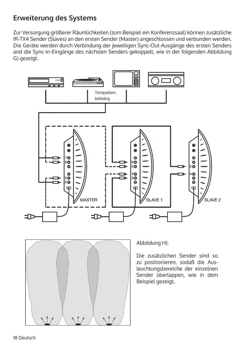# **Erweiterung des Systems**

Zur Versorgung größerer Räumlichkeiten (zum Beispiel ein Konferenzsaal) können zusätzliche IR-TX4 Sender (Slaves) an den ersten Sender (Master) angeschlossen und verbunden werden. Die Geräte werden durch Verbindung der jeweiligen Sync-Out-Ausgänge des ersten Senders and die Sync-In-Eingänge des nächsten Senders gekoppelt, wie in der folgenden Abbildung G) gezeigt.





Abbildung H):

Die zusätzlichen Sender sind so zu positionieren, sodaß die Ausleuchtungsbereiche der einzelnen Sender überlappen, wie in dem Beispiel gezeigt.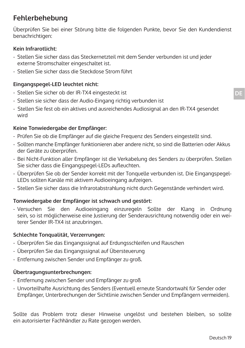# **Fehlerbehebung**

Überprüfen Sie bei einer Störung bitte die folgenden Punkte, bevor Sie den Kundendienst benachrichtigen:

### **Kein Infrarotlicht:**

- Stellen Sie sicher dass das Steckernetzteil mit dem Sender verbunden ist und jeder externe Stromschalter eingeschaltet ist.
- Stellen Sie sicher dass die Steckdose Strom führt

### **Eingangspegel-LED leuchtet nicht:**

- Stellen Sie sicher ob der IR-TX4 eingesteckt ist
- Stellen sie sicher dass der Audio-Eingang richtig verbunden ist
- Stellen Sie fest ob ein aktives und ausreichendes Audiosignal an den IR-TX4 gesendet wird

### **Keine Tonwiedergabe der Empfänger:**

- Prüfen Sie ob die Empfänger auf die gleiche Frequenz des Senders eingestellt sind.
- Sollten manche Empfänger funktionieren aber andere nicht, so sind die Batterien oder Akkus der Geräte zu überprüfen.
- Bei Nicht-Funktion aller Empfänger ist die Verkabelung des Senders zu überprüfen. Stellen Sie sicher dass die Eingangspegel-LEDs aufleuchten.
- Überprüfen Sie ob der Sender korrekt mit der Tonquelle verbunden ist. Die Eingangspegel-LEDs sollten Kanäle mit aktivem Audioeingang aufzeigen.
- Stellen Sie sicher dass die Infrarotabstrahlung nicht durch Gegenstände verhindert wird.

### **Tonwiedergabe der Empfänger ist schwach und gestört:**

- Versuchen Sie den Audioeingang einzuregeln Sollte der Klang in Ordnung sein, so ist möglicherweise eine Justierung der Senderausrichtung notwendig oder ein weiterer Sender IR-TX4 ist anzubringen.

### **Schlechte Tonqualität, Verzerrungen:**

- Überprüfen Sie das Eingangssignal auf Erdungsschleifen und Rauschen
- Überprüfen Sie das Eingangssignal auf Übersteuerung
- Entfernung zwischen Sender und Empfänger zu groß.

### **Übertragungsunterbrechungen:**

- Entfernung zwischen Sender und Empfänger zu groß
- Unvorteilhafte Ausrichtung des Senders (Eventuell erneute Standortwahl für Sender oder Empfänger, Unterbrechungen der Sichtlinie zwischen Sender und Empfängern vermeiden).

Sollte das Problem trotz dieser Hinweise ungelöst und bestehen bleiben, so sollte ein autorisierter Fachhändler zu Rate gezogen werden.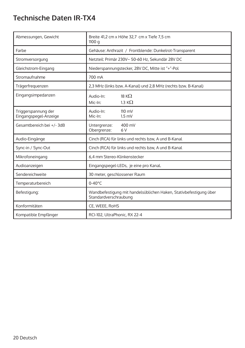# **Technische Daten IR-TX4**

| Abmessungen, Gewicht                         | Breite 41,2 cm x Höhe 32,7 cm x Tiefe 7,5 cm<br>1100q                                      |
|----------------------------------------------|--------------------------------------------------------------------------------------------|
| Farbe                                        | Gehäuse: Anthrazit / Frontblende: Dunkelrot-Transparent                                    |
| Stromversorgung                              | Netzteil: Primär 230V~ 50-60 Hz, Sekundär 28V DC                                           |
| Gleichstrom-Eingang                          | Niederspannungstecker, 28V DC, Mitte ist "+"-Pol                                           |
| Stromaufnahme                                | 700 mA                                                                                     |
| Trägerfreguenzen                             | 2,3 MHz (links bzw. A-Kanal) und 2,8 MHz (rechts bzw. B-Kanal)                             |
| Eingangsimpedanzen                           | 18 KQ<br>Audio-In:<br>$1.3 K\Omega$<br>Mic-In:                                             |
| Triggerspannung der<br>Eingangspegel-Anzeige | Audio-In:<br>$110 \text{ mV}$<br>Mic-In:<br>$1.5$ mV                                       |
| Gesamtbereich bei +/- 3dB                    | 400 mV<br>Untergrenze:<br>Obergrenze:<br>6 V                                               |
| Audio-Eingänge                               | Cinch (RCA) für links und rechts bzw, A und B-Kanal                                        |
| Sync-in / Sync-Out                           | Cinch (RCA) für links und rechts bzw. A und B-Kanal                                        |
| Mikrofoneingang                              | 6,4 mm Stereo-Klinkenstecker                                                               |
| Audioanzeigen                                | Eingangspegel-LEDs, je eine pro Kanal.                                                     |
| Sendereichweite                              | 30 meter, geschlossener Raum                                                               |
| Temperaturbereich                            | $0-40^{\circ}$ C                                                                           |
| Befestigung:                                 | Wandbefestigung mit handelsüblichen Haken, Stativbefestigung über<br>Standardverschraubung |
| Konformitäten                                | CE, WEEE, RoHS                                                                             |
| Kompatible Empfänger                         | RCI-102, UltraPhonic, RX 22-4                                                              |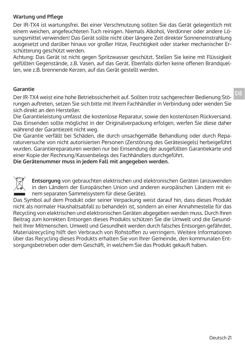### **Wartung und Pflege**

Der IR-TX4 ist wartungsfrei. Bei einer Verschmutzung sollten Sie das Gerät gelegentlich mit einem weichen, angefeuchteten Tuch reinigen. Niemals Alkohol, Verdünner oder andere Lösungsmittel verwenden! Das Gerät sollte nicht über längere Zeit direkter Sonneneinstrahlung ausgesetzt und darüber hinaus vor großer Hitze, Feuchtigkeit oder starker mechanischer Erschütterung geschützt werden.

Achtung: Das Gerät ist nicht gegen Spritzwasser geschützt. Stellen Sie keine mit Flüssigkeit gefüllten Gegenstände, z.B. Vasen, auf das Gerät. Ebenfalls dürfen keine offenen Brandquellen, wie z.B. brennende Kerzen, auf das Gerät gestellt werden.

### **Garantie**

**DE**

Der IR-TX4 weist eine hohe Betriebssicherheit auf. Sollten trotz sachgerechter Bedienung Störungen auftreten, setzen Sie sich bitte mit Ihrem Fachhändler in Verbindung oder wenden Sie sich direkt an den Hersteller.

Die Garantieleistung umfasst die kostenlose Reparatur, sowie den kostenlosen Rückversand. Das Einsenden sollte möglichst in der Originalverpackung erfolgen, werfen Sie diese daher während der Garantiezeit nicht weg.

Die Garantie verfällt bei Schäden, die durch unsachgemäße Behandlung oder durch Reparaturversuche von nicht autorisierten Personen (Zerstörung des Gerätesiegels) herbeigeführt wurden. Garantiereparaturen werden nur bei Einsendung der ausgefüllten Garantiekarte und einer Kopie der Rechnung/Kassenbelegs des Fachhändlers durchgeführt.

**Die Gerätenummer muss in jedem Fall mit angegeben werden.**



**Entsorgung** von gebrauchten elektrischen und elektronischen Geräten (anzuwenden in den Ländern der Europäischen Union und anderen europäischen Ländern mit einem separaten Sammelsystem für diese Geräte).

Das Symbol auf dem Produkt oder seiner Verpackung weist darauf hin, dass dieses Produkt nicht als normaler Haushaltsabfall zu behandeln ist, sondern an einer Annahmestelle für das Recycling von elektrischen und elektronischen Geräten abgegeben werden muss. Durch Ihren Beitrag zum korrekten Entsorgen dieses Produkts schützen Sie die Umwelt und die Gesundheit Ihrer Mitmenschen. Umwelt und Gesundheit werden durch falsches Entsorgen gefährdet. Materialrecycling hilft den Verbrauch von Rohstoffen zu verringern. Weitere Informationen über das Recycling dieses Produkts erhalten Sie von Ihrer Gemeinde, den kommunalen Entsorgungsbetrieben oder dem Geschäft, in welchem Sie das Produkt gekauft haben.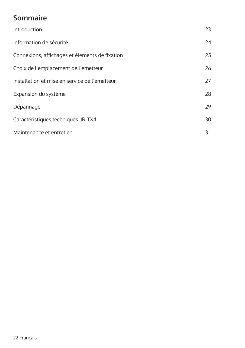# **Sommaire**

| Introduction                                   | 23 |
|------------------------------------------------|----|
| Information de sécurité                        | 24 |
| Connexions, affichages et éléments de fixation | 25 |
| Choix de l'emplacement de l'émetteur           | 26 |
| Installation et mise en service de l'émetteur  | 27 |
| Expansion du système                           | 28 |
| Dépannage                                      | 29 |
| Caractéristiques techniques IR-TX4             | 30 |
| Maintenance et entretien                       | 31 |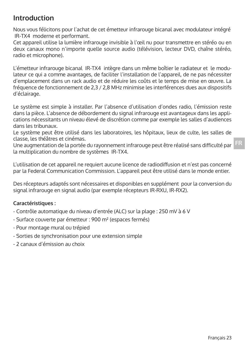# **Introduction**

Nous vous félicitons pour l'achat de cet émetteur infrarouge bicanal avec modulateur intégré IR-TX4 moderne et performant.

Cet appareil utilise la lumière infrarouge invisible à l'œil nu pour transmettre en stéréo ou en deux canaux mono n'importe quelle source audio (télévision, lecteur DVD, chaîne stéréo, radio et microphone).

L'émetteur infrarouge bicanal IR-TX4 intègre dans un même boîtier le radiateur et le modulateur ce qui a comme avantages, de faciliter l'installation de l'appareil, de ne pas nécessiter d'emplacement dans un rack audio et de réduire les coûts et le temps de mise en œuvre. La fréquence de fonctionnement de 2,3 / 2,8 MHz minimise les interférences dues aux dispositifs d'éclairage.

Le système est simple à installer. Par l'absence d'utilisation d'ondes radio, l'émission reste dans la pièce. L'absence de débordement du signal infrarouge est avantageux dans les applications nécessitants un niveau élevé de discrétion comme par exemple les salles d'audiences dans les tribunaux.

Le système peut être utilisé dans les laboratoires, les hôpitaux, lieux de culte, les salles de classe, les théâtres et cinémas.

Une augmentation de la portée du rayonnement infrarouge peut être réalisé sans difficulté par la multiplication du nombre de systèmes IR-TX4.

L'utilisation de cet appareil ne requiert aucune licence de radiodiffusion et n'est pas concerné par la Federal Communication Commission. L'appareil peut être utilisé dans le monde entier.

Des récepteurs adaptés sont nécessaires et disponibles en supplément pour la conversion du signal infrarouge en signal audio (par exemple récepteurs IR-RXU, IR-RX2).

### **Caractéristiques :**

- Contrôle automatique du niveau d'entrée (ALC) sur la plage : 250 mV à 6 V
- Surface couverte par émetteur : 900 m² (espaces fermés)
- Pour montage mural ou trépied
- Sorties de synchronisation pour une extension simple
- 2 canaux d'émission au choix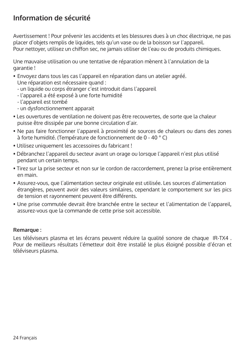# **Information de sécurité**

Avertissement ! Pour prévenir les accidents et les blessures dues à un choc électrique, ne pas placer d'objets remplis de liquides, tels qu'un vase ou de la boisson sur l'appareil. Pour nettoyer, utilisez un chiffon sec, ne jamais utiliser de l'eau ou de produits chimiques.

Une mauvaise utilisation ou une tentative de réparation mènent à l'annulation de la garantie !

- Envoyez dans tous les cas l'appareil en réparation dans un atelier agréé. Une réparation est nécessaire quand :
	- un liquide ou corps étranger c'est introduit dans l'appareil
	- l'appareil a été exposé à une forte humidité
	- l'appareil est tombé
	- un dysfonctionnement apparait
- Les ouvertures de ventilation ne doivent pas être recouvertes, de sorte que la chaleur puisse être dissipée par une bonne circulation d'air.
- Ne pas faire fonctionner l'appareil à proximité de sources de chaleurs ou dans des zones à forte humidité. (Température de fonctionnement de 0 - 40 ° C)
- Utilisez uniquement les accessoires du fabricant !
- Débranchez l'appareil du secteur avant un orage ou lorsque l'appareil n'est plus utilisé pendant un certain temps.
- Tirez sur la prise secteur et non sur le cordon de raccordement, prenez la prise entièrement en main.
- Assurez-vous, que l'alimentation secteur originale est utilisée. Les sources d'alimentation étrangères, peuvent avoir des valeurs similaires, cependant le comportement sur les pics de tension et rayonnement peuvent être différents.
- Une prise commutée devrait être branchée entre le secteur et l'alimentation de l'appareil, assurez-vous que la commande de cette prise soit accessible.

### **Remarque :**

Les téléviseurs plasma et les écrans peuvent réduire la qualité sonore de chaque IR-TX4 . Pour de meilleurs résultats l'émetteur doit être installé le plus éloigné possible d'écran et téléviseurs plasma.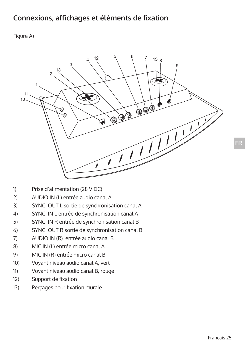# **Connexions, affichages et éléments de fixation**

### Figure A)



- 1) Prise d'alimentation (28 V DC)
- 2) AUDIO IN (L) entrée audio canal A
- 3) SYNC. OUT L sortie de synchronisation canal A
- 4) SYNC. IN L entrée de synchronisation canal A
- 5) SYNC. IN R entrée de synchronisation canal B
- 6) SYNC. OUT R sortie de synchronisation canal B
- 7) AUDIO IN (R) entrée audio canal B
- 8) MIC IN (L) entrée micro canal A
- 9) MIC IN (R) entrée micro canal B
- 10) Voyant niveau audio canal A, vert
- 11) Voyant niveau audio canal B, rouge
- 12) Support de fixation
- 13) Perçages pour fixation murale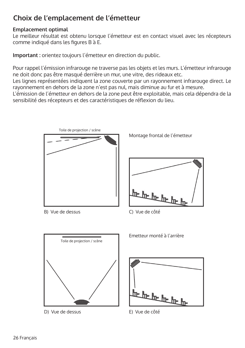# **Choix de l'emplacement de l'émetteur**

### **Emplacement optimal**

Le meilleur résultat est obtenu lorsque l'émetteur est en contact visuel avec les récepteurs comme indiqué dans les figures B à E.

**Important :** orientez toujours l'émetteur en direction du public.

Pour rappel l'émission infrarouge ne traverse pas les objets et les murs. L'émetteur infrarouge ne doit donc pas être masqué derrière un mur, une vitre, des rideaux etc.

Les lignes représentées indiquent la zone couverte par un rayonnement infrarouge direct. Le rayonnement en dehors de la zone n'est pas nul, mais diminue au fur et à mesure.

L'émission de l'émetteur en dehors de la zone peut être exploitable, mais cela dépendra de la sensibilité des récepteurs et des caractéristiques de réflexion du lieu.



B) Vue de dessus

Montage frontal de l'émetteur



C) Vue de côté



D) Vue de dessus E) Vue de côté

Emetteur monté à l'arrière

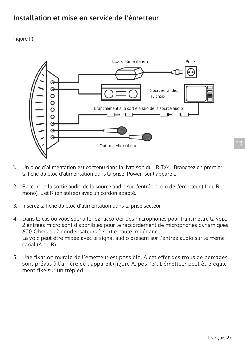# **Installation et mise en service de l'émetteur**

Figure F)



- 1. Un bloc d'alimentation est contenu dans la livraison du IR-TX4 . Branchez en premier la fiche du bloc d'alimentation dans la prise Power sur l'appareil.
- 2. Raccordez la sortie audio de la source audio sur l'entrée audio de l'émetteur ( L ou R, mono), L et R (en stéréo) avec un cordon adapté.
- 3. Insérez la fiche du bloc d'alimentation dans la prise secteur.
- 4. Dans le cas ou vous souhaiteriez raccorder des microphones pour transmettre la voix, 2 entrées micro sont disponibles pour le raccordement de microphones dynamiques 600 Ohms ou à condensateurs à sortie haute impédance. La voix peut être mixée avec le signal audio présent sur l'entrée audio sur le même canal (A ou B).
- 5. Une fixation murale de l'émetteur est possible. A cet effet des trous de perçages sont prévus à l'arrière de l'appareil (figure A, pos. 13). L'émetteur peut être égale ment fixé sur un trépied.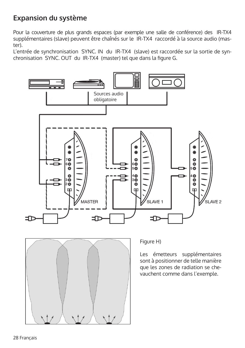# **Expansion du système**

Pour la couverture de plus grands espaces (par exemple une salle de conférence) des IR-TX4 supplémentaires (slave) peuvent être chaînés sur le IR-TX4 raccordé à la source audio (master).

L'entrée de synchronisation SYNC. IN du IR-TX4 (slave) est raccordée sur la sortie de synchronisation SYNC. OUT du IR-TX4 (master) tel que dans la figure G.





### Figure H)

Les émetteurs supplémentaires sont à positionner de telle manière que les zones de radiation se chevauchent comme dans l'exemple.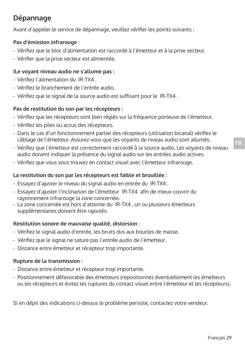# **Dépannage**

Avant d'appeler le service de dépannage, veuillez vérifier les points suivants :

### **Pas d'émission infrarouge :**

- Vérifiez que le bloc d'alimentation est raccordé à l'émetteur et à la prise secteur.
- Vérifier que la prise secteur est alimentée.

### **ILe voyant niveau audio ne s'allume pas :**

- Vérifiez l'alimentation du IR-TX4 .
- Vérifiez le branchement de l'entrée audio.
- Vérifiez que le signal de la source audio est suffisant pour le IR-TX4 .

### **Pas de restitution du son par les récepteurs :**

- Vérifiez que les récepteurs sont bien réglés sur la fréquence porteuse de l'émetteur.
- Vérifiez les piles ou accus des récepteurs.
- Dans le cas d'un fonctionnement partiel des récepteurs (utilisation bicanal) vérifiez le câblage de l'émetteur. Assurez-vous que les voyants de niveau audio sont allumés.
- Vérifiez que l'émetteur est correctement raccordé à la source audio. Les voyants de niveau audio doivent indiquer la présence du signal audio sur les entrées audio actives.
- Vérifiez que vous vous trouvez en contact visuel avec l'émetteur infrarouge.

### **La restitution du son par les récepteurs est faible et brouillée :**

- Essayez d'ajuster le niveau du signal audio en entrée du IR-TX4 .
- Essayez d'ajuster l'inclinaison de l'émetteur IR-TX4 afin de mieux couvrir du rayonnement infrarouge la zone concernée.
- La zone concernée est hors d'atteinte du IR-TX4 , un ou plusieurs émetteurs supplémentaires doivent être rajoutés.

### **Restitution sonore de mauvaise qualité, distorsion :**

- Vérifiez le signal audio d'entrée, les bruits dus aux boucles de masse.
- Vérifiez que le signal ne sature pas l'entrée audio de l'émetteur.
- Distance entre émetteur et récepteur trop importante.

### **Rupture de la transmission :**

- Distance entre émetteur et récepteur trop importante.
- Positionnement défavorable des émetteurs (repositionnez éventuellement les émetteurs ou les récepteurs et évitez les ruptures du contact visuel entre l'émetteur et les récepteurs).

Si en dépit des indications ci-dessus le problème persiste, contactez votre vendeur.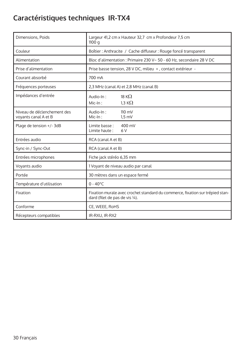# **Caractéristiques techniques IR-TX4**

| Dimensions, Poids                                   | Largeur 41,2 cm x Hauteur 32,7 cm x Profondeur 7,5 cm<br>1100 g                                                  |
|-----------------------------------------------------|------------------------------------------------------------------------------------------------------------------|
| Couleur                                             | Boîtier : Anthracite / Cache diffuseur : Rouge foncé transparent                                                 |
| Alimentation                                        | Bloc d'alimentation : Primaire 230 V~ 50 - 60 Hz, secondaire 28 V DC                                             |
| Prise d'alimentation                                | Prise basse tension, 28 V DC, milieu +, contact extérieur -                                                      |
| Courant absorbé                                     | 700 mA                                                                                                           |
| Fréquences porteuses                                | 2,3 MHz (canal A) et 2,8 MHz (canal B)                                                                           |
| Impédances d'entrée                                 | 18 K $\Omega$<br>Audio-In:<br>Mic-In:<br>1.3 K $\Omega$                                                          |
| Niveau de déclenchement des<br>voyants canal A et B | $110 \text{ mV}$<br>Audio-In:<br>$Mic-In:$<br>$1.5$ mV                                                           |
| Plage de tension +/- 3dB                            | 400 mV<br>Limite basse:<br>Limite haute:<br>6 V                                                                  |
| Entrées audio                                       | RCA (canal A et B)                                                                                               |
| Sync-in / Sync-Out                                  | RCA (canal A et B)                                                                                               |
| Entrées microphones                                 | Fiche jack stéréo 6,35 mm                                                                                        |
| Voyants audio                                       | 1 Voyant de niveau audio par canal                                                                               |
| Portée                                              | 30 mètres dans un espace fermé                                                                                   |
| Température d'utilisation                           | $0 - 40^{\circ}$ C                                                                                               |
| Fixation                                            | Fixation murale avec crochet standard du commerce, fixation sur trépied stan-<br>dard (filet de pas de vis 1/4). |
| Conforme                                            | CE, WEEE, RoHS                                                                                                   |
| Récepteurs compatibles                              | IR-RXU, IR-RX2                                                                                                   |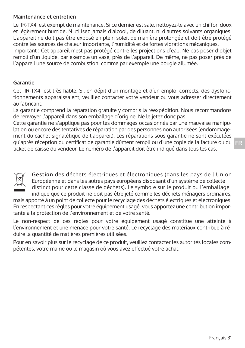### **Maintenance et entretien**

Le IR-TX4 est exempt de maintenance. Si ce dernier est sale, nettoyez-le avec un chiffon doux et légèrement humide. N'utilisez jamais d'alcool, de diluant, ni d'autres solvants organiques. L'appareil ne doit pas être exposé en plein soleil de manière prolongée et doit être protégé contre les sources de chaleur importante, l'humidité et de fortes vibrations mécaniques. Important : Cet appareil n'est pas protégé contre les projections d'eau. Ne pas poser d'objet

rempli d'un liquide, par exemple un vase, près de l'appareil. De même, ne pas poser près de l'appareil une source de combustion, comme par exemple une bougie allumée.

### **Garantie**

Cet IR-TX4 est très fiable. Si, en dépit d'un montage et d'un emploi corrects, des dysfonctionnements apparaissaient, veuillez contacter votre vendeur ou vous adresser directement au fabricant.

La garantie comprend la réparation gratuite y compris la réexpédition. Nous recommandons de renvoyer l'appareil dans son emballage d'origine. Ne le jetez donc pas.

Cette garantie ne s'applique pas pour les dommages occasionnés par une mauvaise manipulation ou encore des tentatives de réparation par des personnes non autorisées (endommagement du cachet signalétique de l'appareil). Les réparations sous garantie ne sont exécutées qu'après réception du certificat de garantie dûment rempli ou d'une copie de la facture ou du ticket de caisse du vendeur. Le numéro de l'appareil doit être indiqué dans tous les cas.



**Gestion** des déchets électriques et électroniques (dans les pays de l'Union Européenne et dans les autres pays européens disposant d'un système de collecte distinct pour cette classe de déchets). Le symbole sur le produit ou l'emballage indique que ce produit ne doit pas être jeté comme les déchets ménagers ordinaires,

mais apporté à un point de collecte pour le recyclage des déchets électriques et électroniques. En respectant ces règles pour votre équipement usagé, vous apportez une contribution importante à la protection de l'environnement et de votre santé.

Le non-respect de ces règles pour votre équipement usagé constitue une atteinte à l'environnement et une menace pour votre santé. Le recyclage des matériaux contribue à réduire la quantité de matières premières utilisées.

Pour en savoir plus sur le recyclage de ce produit, veuillez contacter les autorités locales compétentes, votre mairie ou le magasin où vous avez effectué votre achat.